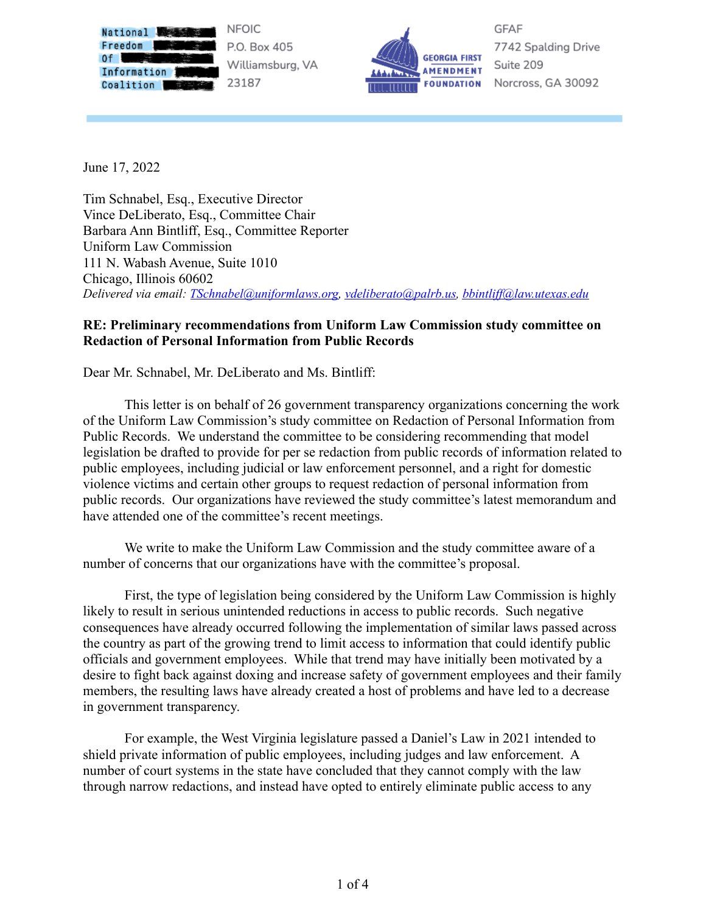

P.O. Box 405 Williamsburg, VA 23187



**GFAF** 7742 Spalding Drive Suite 209 Norcross, GA 30092

June 17, 2022

Tim Schnabel, Esq., Executive Director Vince DeLiberato, Esq., Committee Chair Barbara Ann Bintliff, Esq., Committee Reporter Uniform Law Commission 111 N. Wabash Avenue, Suite 1010 Chicago, Illinois 60602 *Delivered via email: [TSchnabel@uniformlaws.org,](mailto:TSchnabel@uniformlaws.org) [vdeliberato@palrb.us,](mailto:vdeliberato@palrb.us) bbintlif [@law.utexas.edu](mailto:bbintliff@law.utexas.edu)*

## **RE: Preliminary recommendations from Uniform Law Commission study committee on Redaction of Personal Information from Public Records**

Dear Mr. Schnabel, Mr. DeLiberato and Ms. Bintliff:

This letter is on behalf of 26 government transparency organizations concerning the work of the Uniform Law Commission's study committee on Redaction of Personal Information from Public Records. We understand the committee to be considering recommending that model legislation be drafted to provide for per se redaction from public records of information related to public employees, including judicial or law enforcement personnel, and a right for domestic violence victims and certain other groups to request redaction of personal information from public records. Our organizations have reviewed the study committee's latest memorandum and have attended one of the committee's recent meetings.

We write to make the Uniform Law Commission and the study committee aware of a number of concerns that our organizations have with the committee's proposal.

First, the type of legislation being considered by the Uniform Law Commission is highly likely to result in serious unintended reductions in access to public records. Such negative consequences have already occurred following the implementation of similar laws passed across the country as part of the growing trend to limit access to information that could identify public officials and government employees. While that trend may have initially been motivated by a desire to fight back against doxing and increase safety of government employees and their family members, the resulting laws have already created a host of problems and have led to a decrease in government transparency.

For example, the West Virginia legislature passed a Daniel's Law in 2021 intended to shield private information of public employees, including judges and law enforcement. A number of court systems in the state have concluded that they cannot comply with the law through narrow redactions, and instead have opted to entirely eliminate public access to any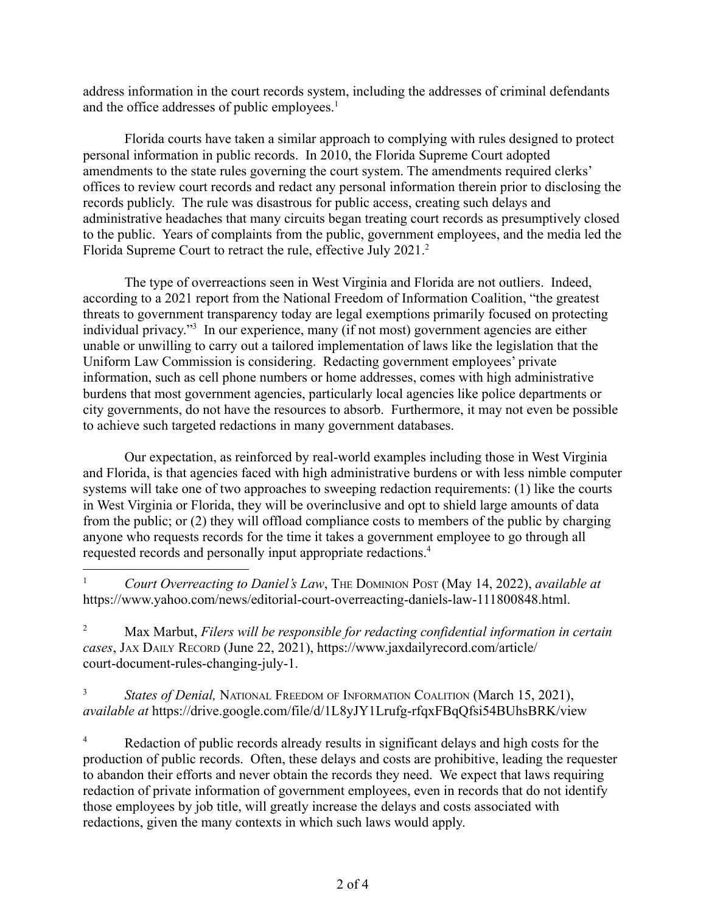address information in the court records system, including the addresses of criminal defendants and the office addresses of public employees.<sup>1</sup>

Florida courts have taken a similar approach to complying with rules designed to protect personal information in public records. In 2010, the Florida Supreme Court adopted amendments to the state rules governing the court system. The amendments required clerks' offices to review court records and redact any personal information therein prior to disclosing the records publicly. The rule was disastrous for public access, creating such delays and administrative headaches that many circuits began treating court records as presumptively closed to the public. Years of complaints from the public, government employees, and the media led the Florida Supreme Court to retract the rule, effective July 2021.<sup>2</sup>

The type of overreactions seen in West Virginia and Florida are not outliers. Indeed, according to a 2021 report from the National Freedom of Information Coalition, "the greatest threats to government transparency today are legal exemptions primarily focused on protecting individual privacy."<sup>3</sup> In our experience, many (if not most) government agencies are either unable or unwilling to carry out a tailored implementation of laws like the legislation that the Uniform Law Commission is considering. Redacting government employees' private information, such as cell phone numbers or home addresses, comes with high administrative burdens that most government agencies, particularly local agencies like police departments or city governments, do not have the resources to absorb. Furthermore, it may not even be possible to achieve such targeted redactions in many government databases.

Our expectation, as reinforced by real-world examples including those in West Virginia and Florida, is that agencies faced with high administrative burdens or with less nimble computer systems will take one of two approaches to sweeping redaction requirements: (1) like the courts in West Virginia or Florida, they will be overinclusive and opt to shield large amounts of data from the public; or (2) they will offload compliance costs to members of the public by charging anyone who requests records for the time it takes a government employee to go through all requested records and personally input appropriate redactions.<sup>4</sup>

<sup>1</sup> *Court Overreacting to Daniel's Law*, THE DOMINION POST (May 14, 2022), *available at* https://www.yahoo.com/news/editorial-court-overreacting-daniels-law-111800848.html.

<sup>2</sup> Max Marbut, *Filers will be responsible for redacting confidential information in certain cases*, JAX DAILY RECORD (June 22, 2021), https://www.jaxdailyrecord.com/article/ court-document-rules-changing-july-1.

<sup>3</sup> *States of Denial, NATIONAL FREEDOM OF INFORMATION COALITION (March 15, 2021), available at* https://drive.google.com/file/d/1L8yJY1Lrufg-rfqxFBqQfsi54BUhsBRK/view

<sup>4</sup> Redaction of public records already results in significant delays and high costs for the production of public records. Often, these delays and costs are prohibitive, leading the requester to abandon their efforts and never obtain the records they need. We expect that laws requiring redaction of private information of government employees, even in records that do not identify those employees by job title, will greatly increase the delays and costs associated with redactions, given the many contexts in which such laws would apply.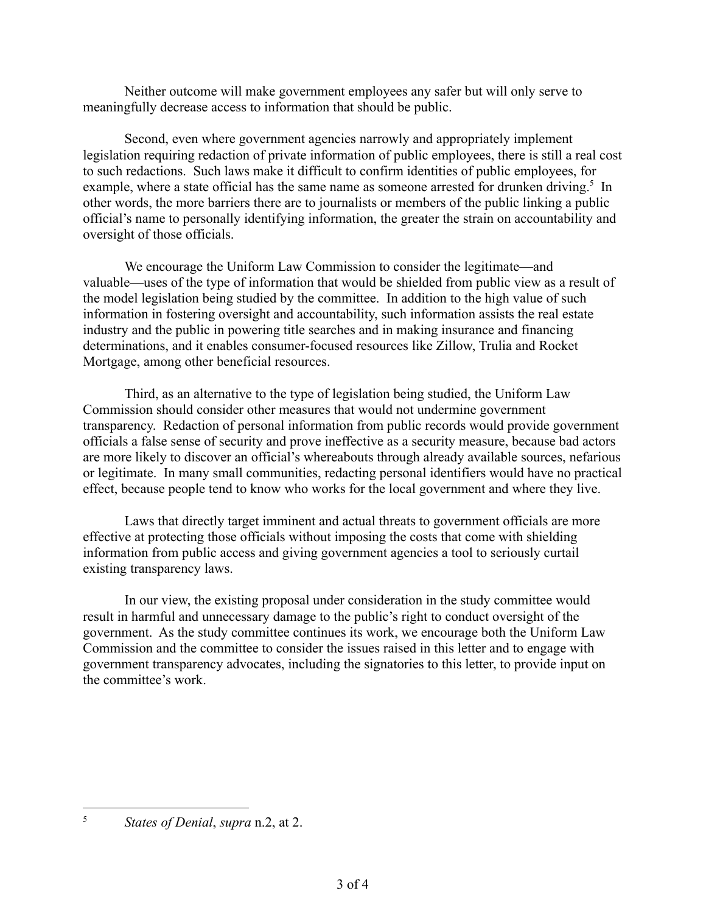Neither outcome will make government employees any safer but will only serve to meaningfully decrease access to information that should be public.

Second, even where government agencies narrowly and appropriately implement legislation requiring redaction of private information of public employees, there is still a real cost to such redactions. Such laws make it difficult to confirm identities of public employees, for example, where a state official has the same name as someone arrested for drunken driving.<sup>5</sup> In other words, the more barriers there are to journalists or members of the public linking a public official's name to personally identifying information, the greater the strain on accountability and oversight of those officials.

We encourage the Uniform Law Commission to consider the legitimate—and valuable—uses of the type of information that would be shielded from public view as a result of the model legislation being studied by the committee. In addition to the high value of such information in fostering oversight and accountability, such information assists the real estate industry and the public in powering title searches and in making insurance and financing determinations, and it enables consumer-focused resources like Zillow, Trulia and Rocket Mortgage, among other beneficial resources.

Third, as an alternative to the type of legislation being studied, the Uniform Law Commission should consider other measures that would not undermine government transparency. Redaction of personal information from public records would provide government officials a false sense of security and prove ineffective as a security measure, because bad actors are more likely to discover an official's whereabouts through already available sources, nefarious or legitimate. In many small communities, redacting personal identifiers would have no practical effect, because people tend to know who works for the local government and where they live.

Laws that directly target imminent and actual threats to government officials are more effective at protecting those officials without imposing the costs that come with shielding information from public access and giving government agencies a tool to seriously curtail existing transparency laws.

In our view, the existing proposal under consideration in the study committee would result in harmful and unnecessary damage to the public's right to conduct oversight of the government. As the study committee continues its work, we encourage both the Uniform Law Commission and the committee to consider the issues raised in this letter and to engage with government transparency advocates, including the signatories to this letter, to provide input on the committee's work.

<sup>5</sup> *States of Denial*, *supra* n.2, at 2.